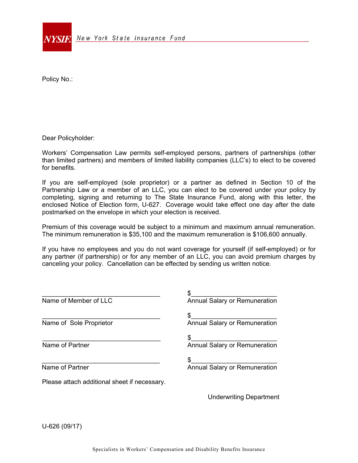

Policy No.:

Dear Policyholder:

Workers' Compensation Law permits self-employed persons, partners of partnerships (other than limited partners) and members of limited liability companies (LLC's) to elect to be covered for benefits.

If you are self-employed (sole proprietor) or a partner as defined in Section 10 of the Partnership Law or a member of an LLC, you can elect to be covered under your policy by completing, signing and returning to The State Insurance Fund, along with this letter, the enclosed Notice of Election form, U-627. Coverage would take effect one day after the date postmarked on the envelope in which your election is received.

Premium of this coverage would be subject to a minimum and maximum annual remuneration. The minimum remuneration is \$35,100 and the maximum remuneration is \$106,600 annually.

If you have no employees and you do not want coverage for yourself (if self-employed) or for any partner (if partnership) or for any member of an LLC, you can avoid premium charges by canceling your policy. Cancellation can be effected by sending us written notice.

| Name of Member of LLC                        | Annual Salary or Remuneration  |
|----------------------------------------------|--------------------------------|
| Name of Sole Proprietor                      | Annual Salary or Remuneration  |
| Name of Partner                              | Annual Salary or Remuneration  |
| Name of Partner                              | Annual Salary or Remuneration  |
| Please attach additional sheet if necessary. |                                |
|                                              | <b>Underwriting Department</b> |

U-626 (09/17)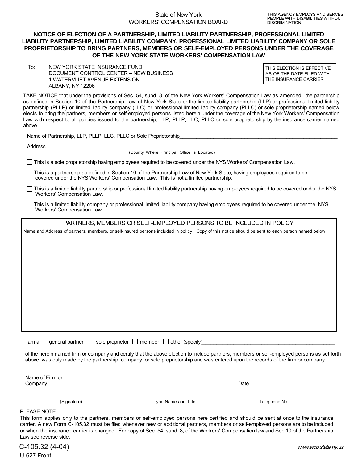## **NOTICE OF ELECTION OF A PARTNERSHIP, LIMITED LIABILITY PARTNERSHIP, PROFESSIONAL LIMITED LIABILITY PARTNERSHIP, LIMITED LIABILITY COMPANY, PROFESSIONAL LIMITED LIABILITY COMPANY OR SOLE PROPRIETORSHIP TO BRING PARTNERS, MEMBERS OR SELF-EMPLOYED PERSONS UNDER THE COVERAGE OF THE NEW YORK STATE WORKERS' COMPENSATION LAW**

To: NEW YORK STATE INSURANCE FUND DOCUMENT CONTROL CENTER – NEW BUSINESS 1 WATERVLIET AVENUE EXTENSION ALBANY, NY 12206

THIS ELECTION IS EFFECTIVE AS OF THE DATE FILED WITH THE INSURANCE CARRIER

TAKE NOTICE that under the provisions of Sec. 54, subd. 8, of the New York Workers' Compensation Law as amended, the partnership as defined in Section 10 of the Partnership Law of New York State or the limited liability partnership (LLP) or professional limited liability partnership (PLLP) or limited liability company (LLC) or professional limited liability company (PLLC) or sole proprietorship named below elects to bring the partners, members or self-employed persons listed herein under the coverage of the New York Workers' Compensation Law with respect to all policies issued to the partnership, LLP, PLLP, LLC, PLLC or sole proprietorship by the insurance carrier named above.

Name of Partnership, LLP, PLLP, LLC, PLLC or Sole Proprietorship

Address\_\_\_\_\_\_\_\_\_\_\_\_\_\_\_\_\_\_\_\_\_\_\_\_\_\_\_\_\_\_\_\_\_\_\_\_\_\_\_\_\_\_\_\_\_\_\_\_\_\_\_\_\_\_\_\_\_\_\_\_\_\_\_\_\_\_\_\_\_\_\_\_\_\_\_\_\_\_\_\_\_\_\_\_\_\_\_\_\_\_\_\_\_\_\_\_\_\_\_\_\_\_\_\_

(County Where Principal Office is Located)

This is a sole proprietorship having employees required to be covered under the NYS Workers' Compensation Law.

 $\Box$  This is a partnership as defined in Section 10 of the Partnership Law of New York State, having employees required to be covered under the NYS Workers' Compensation Law. This is not a limited partnership.

- $\Box$  This is a limited liability partnership or professional limited liability partnership having employees required to be covered under the NYS Workers' Compensation Law.
- $\Box$  This is a limited liability company or professional limited liability company having employees required to be covered under the NYS Workers' Compensation Law.

PARTNERS, MEMBERS OR SELF-EMPLOYED PERSONS TO BE INCLUDED IN POLICY

Name and Address of partners, members, or self-insured persons included in policy. Copy of this notice should be sent to each person named below.

I am a  $\Box$  general partner  $\Box$  sole proprietor  $\Box$  member  $\Box$  other (specify)

of the herein named firm or company and certify that the above election to include partners, members or self-employed persons as set forth above, was duly made by the partnership, company, or sole proprietorship and was entered upon the records of the firm or company.

Name of Firm or Company\_\_\_\_\_\_\_\_\_\_\_\_\_\_\_\_\_\_\_\_\_\_\_\_\_\_\_\_\_\_\_\_\_\_\_\_\_\_\_\_\_\_\_\_\_\_\_\_\_\_\_\_\_\_\_\_\_\_\_\_\_\_\_\_\_\_\_\_Date\_\_\_\_\_\_\_\_\_\_\_\_\_\_\_\_\_\_\_\_\_\_\_\_

(Signature) Type Name and Title Telephone No.

\_\_\_\_\_\_\_\_\_\_\_\_\_\_\_\_\_\_\_\_\_\_\_\_\_\_\_\_\_\_\_\_\_\_\_\_\_\_\_\_\_\_\_\_\_\_\_\_\_\_\_\_\_\_\_\_\_\_\_\_\_\_\_\_\_\_\_\_\_\_\_\_\_\_\_\_\_\_\_\_\_\_\_\_\_\_\_\_\_\_\_\_\_\_\_\_\_\_\_\_\_\_\_\_

## PLEASE NOTE

This form applies only to the partners, members or self-employed persons here certified and should be sent at once to the insurance carrier. A new Form C-105.32 must be filed whenever new or additional partners, members or self-employed persons are to be included or when the insurance carrier is changed. For copy of Sec. 54, subd. 8, of the Workers' Compensation law and Sec.10 of the Partnership Law see reverse side.

C-105.32 (4-04) U-627 Front